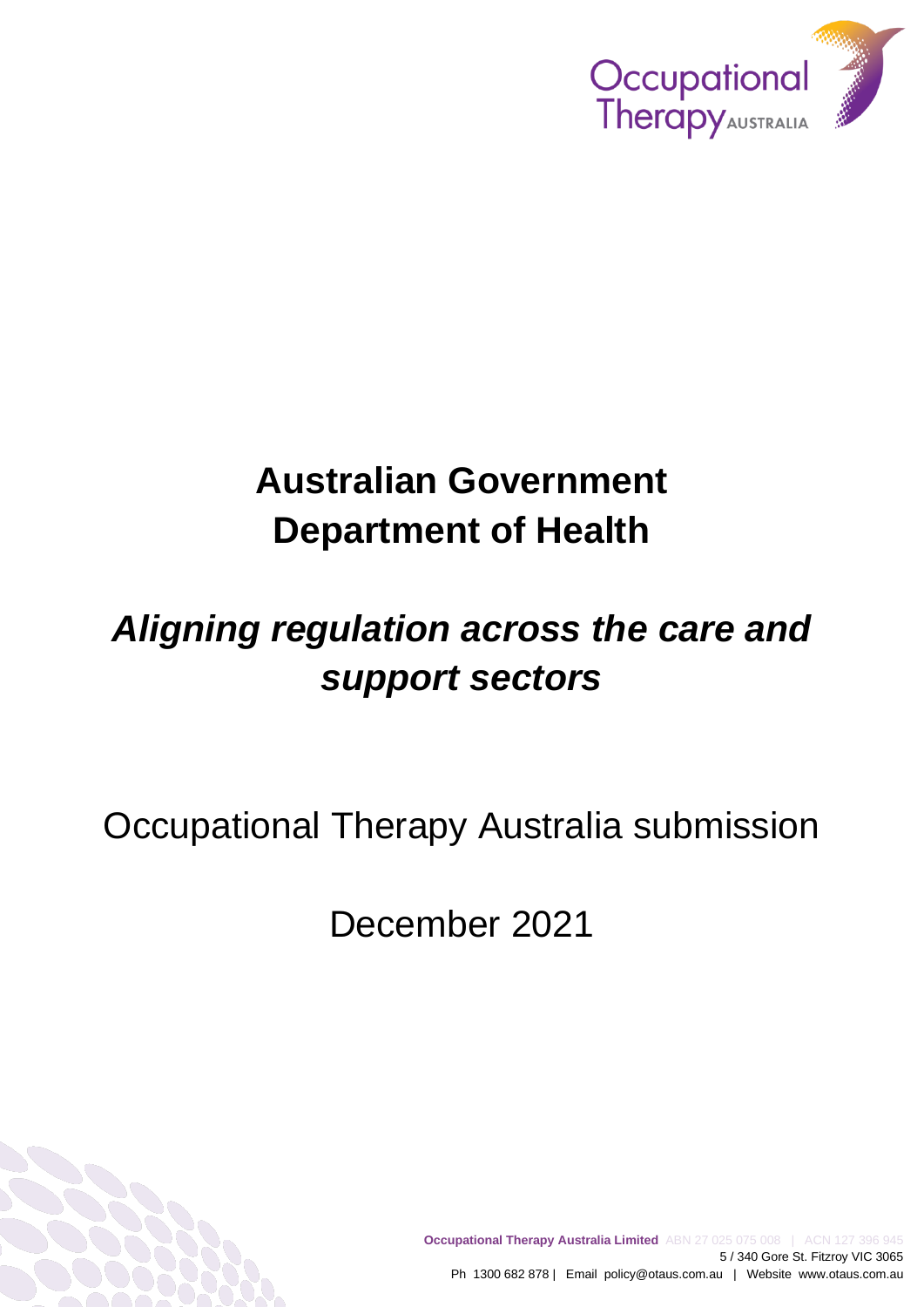

# **Australian Government Department of Health**

# *Aligning regulation across the care and support sectors*

Occupational Therapy Australia submission

December 2021

**Occupational Therapy Australia Limited** ABN 27 025 075 008 | ACN 127 396 945 5 / 340 Gore St. Fitzroy VIC 3065 Ph 1300 682 878 | Email policy@otaus.com.au | Website www.otaus.com.au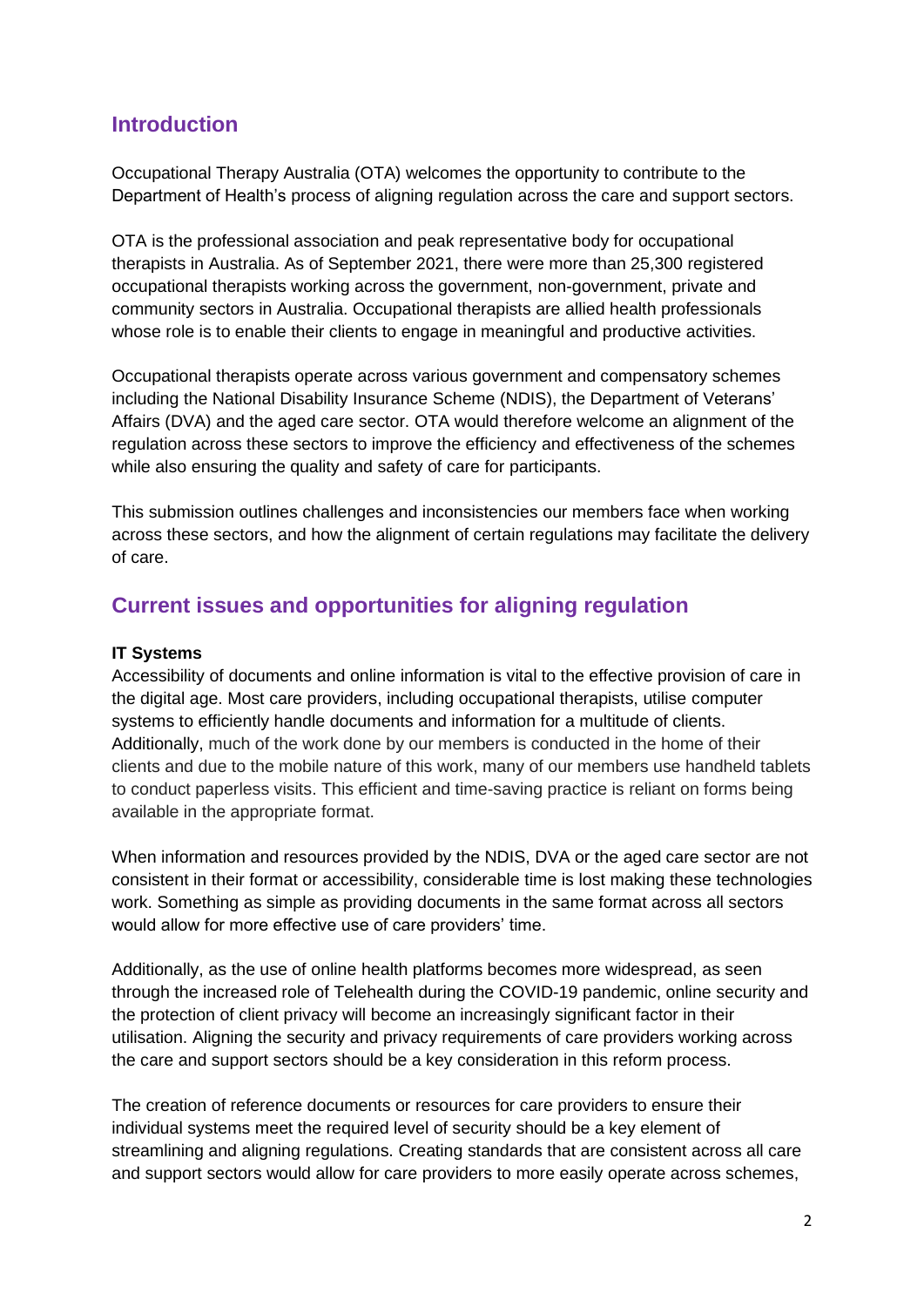## **Introduction**

Occupational Therapy Australia (OTA) welcomes the opportunity to contribute to the Department of Health's process of aligning regulation across the care and support sectors.

OTA is the professional association and peak representative body for occupational therapists in Australia. As of September 2021, there were more than 25,300 registered occupational therapists working across the government, non-government, private and community sectors in Australia. Occupational therapists are allied health professionals whose role is to enable their clients to engage in meaningful and productive activities.

Occupational therapists operate across various government and compensatory schemes including the National Disability Insurance Scheme (NDIS), the Department of Veterans' Affairs (DVA) and the aged care sector. OTA would therefore welcome an alignment of the regulation across these sectors to improve the efficiency and effectiveness of the schemes while also ensuring the quality and safety of care for participants.

This submission outlines challenges and inconsistencies our members face when working across these sectors, and how the alignment of certain regulations may facilitate the delivery of care.

## **Current issues and opportunities for aligning regulation**

#### **IT Systems**

Accessibility of documents and online information is vital to the effective provision of care in the digital age. Most care providers, including occupational therapists, utilise computer systems to efficiently handle documents and information for a multitude of clients. Additionally, much of the work done by our members is conducted in the home of their clients and due to the mobile nature of this work, many of our members use handheld tablets to conduct paperless visits. This efficient and time-saving practice is reliant on forms being available in the appropriate format.

When information and resources provided by the NDIS, DVA or the aged care sector are not consistent in their format or accessibility, considerable time is lost making these technologies work. Something as simple as providing documents in the same format across all sectors would allow for more effective use of care providers' time.

Additionally, as the use of online health platforms becomes more widespread, as seen through the increased role of Telehealth during the COVID-19 pandemic, online security and the protection of client privacy will become an increasingly significant factor in their utilisation. Aligning the security and privacy requirements of care providers working across the care and support sectors should be a key consideration in this reform process.

The creation of reference documents or resources for care providers to ensure their individual systems meet the required level of security should be a key element of streamlining and aligning regulations. Creating standards that are consistent across all care and support sectors would allow for care providers to more easily operate across schemes,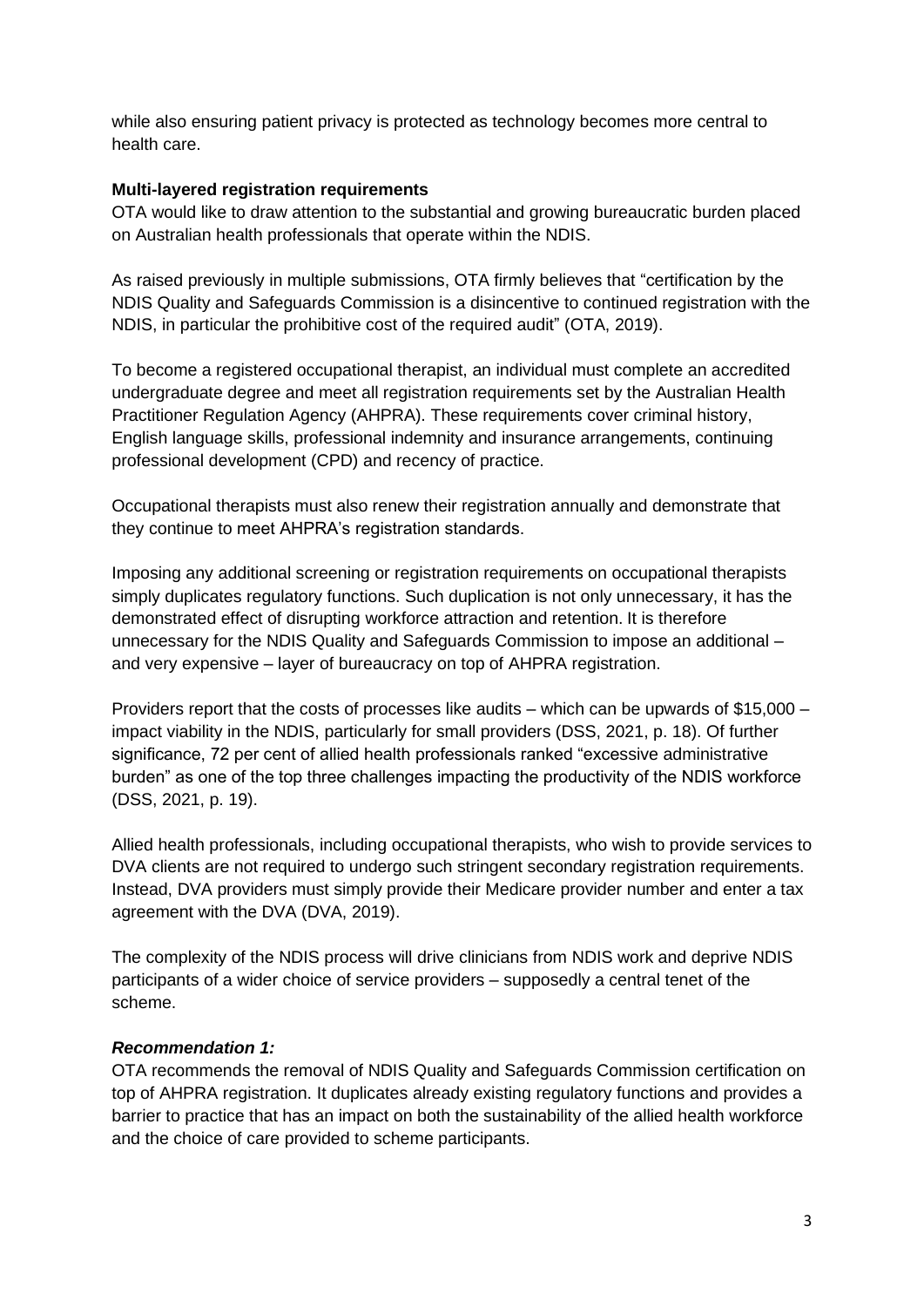while also ensuring patient privacy is protected as technology becomes more central to health care.

#### **Multi-layered registration requirements**

OTA would like to draw attention to the substantial and growing bureaucratic burden placed on Australian health professionals that operate within the NDIS.

As raised previously in multiple submissions, OTA firmly believes that "certification by the NDIS Quality and Safeguards Commission is a disincentive to continued registration with the NDIS, in particular the prohibitive cost of the required audit" (OTA, 2019).

To become a registered occupational therapist, an individual must complete an accredited undergraduate degree and meet all registration requirements set by the Australian Health Practitioner Regulation Agency (AHPRA). These requirements cover criminal history, English language skills, professional indemnity and insurance arrangements, continuing professional development (CPD) and recency of practice.

Occupational therapists must also renew their registration annually and demonstrate that they continue to meet AHPRA's registration standards.

Imposing any additional screening or registration requirements on occupational therapists simply duplicates regulatory functions. Such duplication is not only unnecessary, it has the demonstrated effect of disrupting workforce attraction and retention. It is therefore unnecessary for the NDIS Quality and Safeguards Commission to impose an additional – and very expensive – layer of bureaucracy on top of AHPRA registration.

Providers report that the costs of processes like audits – which can be upwards of \$15,000 – impact viability in the NDIS, particularly for small providers (DSS, 2021, p. 18). Of further significance, 72 per cent of allied health professionals ranked "excessive administrative burden" as one of the top three challenges impacting the productivity of the NDIS workforce (DSS, 2021, p. 19).

Allied health professionals, including occupational therapists, who wish to provide services to DVA clients are not required to undergo such stringent secondary registration requirements. Instead, DVA providers must simply provide their Medicare provider number and enter a tax agreement with the DVA (DVA, 2019).

The complexity of the NDIS process will drive clinicians from NDIS work and deprive NDIS participants of a wider choice of service providers – supposedly a central tenet of the scheme.

#### *Recommendation 1:*

OTA recommends the removal of NDIS Quality and Safeguards Commission certification on top of AHPRA registration. It duplicates already existing regulatory functions and provides a barrier to practice that has an impact on both the sustainability of the allied health workforce and the choice of care provided to scheme participants.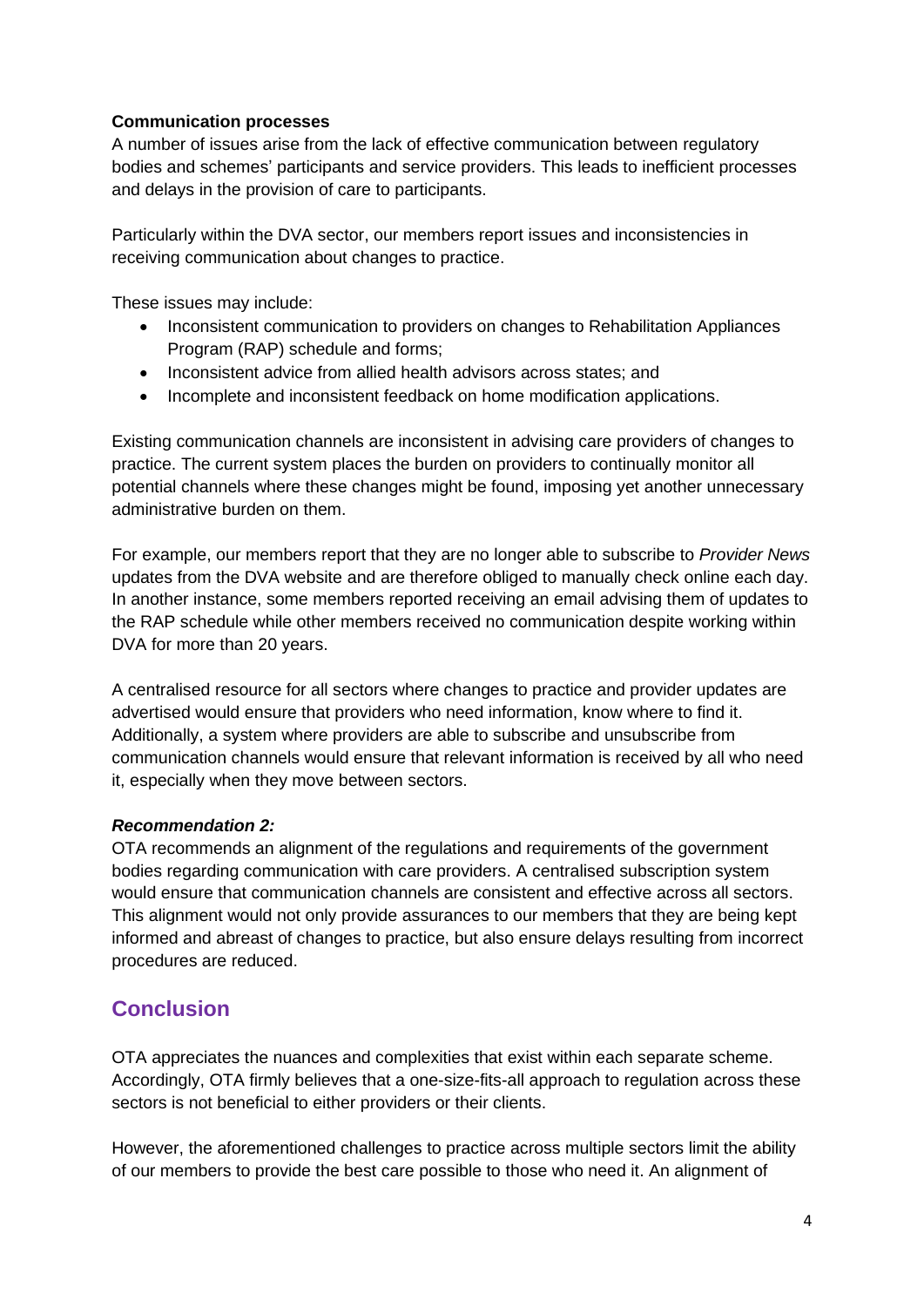### **Communication processes**

A number of issues arise from the lack of effective communication between regulatory bodies and schemes' participants and service providers. This leads to inefficient processes and delays in the provision of care to participants.

Particularly within the DVA sector, our members report issues and inconsistencies in receiving communication about changes to practice.

These issues may include:

- Inconsistent communication to providers on changes to Rehabilitation Appliances Program (RAP) schedule and forms;
- Inconsistent advice from allied health advisors across states: and
- Incomplete and inconsistent feedback on home modification applications.

Existing communication channels are inconsistent in advising care providers of changes to practice. The current system places the burden on providers to continually monitor all potential channels where these changes might be found, imposing yet another unnecessary administrative burden on them.

For example, our members report that they are no longer able to subscribe to *Provider News* updates from the DVA website and are therefore obliged to manually check online each day. In another instance, some members reported receiving an email advising them of updates to the RAP schedule while other members received no communication despite working within DVA for more than 20 years.

A centralised resource for all sectors where changes to practice and provider updates are advertised would ensure that providers who need information, know where to find it. Additionally, a system where providers are able to subscribe and unsubscribe from communication channels would ensure that relevant information is received by all who need it, especially when they move between sectors.

#### *Recommendation 2:*

OTA recommends an alignment of the regulations and requirements of the government bodies regarding communication with care providers. A centralised subscription system would ensure that communication channels are consistent and effective across all sectors. This alignment would not only provide assurances to our members that they are being kept informed and abreast of changes to practice, but also ensure delays resulting from incorrect procedures are reduced.

## **Conclusion**

OTA appreciates the nuances and complexities that exist within each separate scheme. Accordingly, OTA firmly believes that a one-size-fits-all approach to regulation across these sectors is not beneficial to either providers or their clients.

However, the aforementioned challenges to practice across multiple sectors limit the ability of our members to provide the best care possible to those who need it. An alignment of